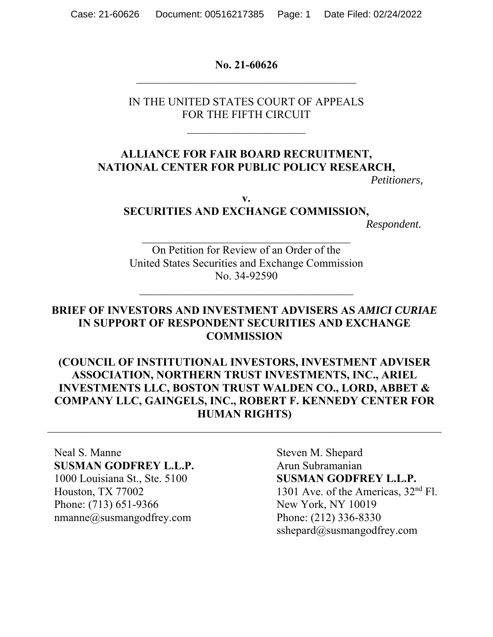**No. 21-60626**  $\mathcal{L}_\text{max}$  , and the set of the set of the set of the set of the set of the set of the set of the set of the set of the set of the set of the set of the set of the set of the set of the set of the set of the set of the

IN THE UNITED STATES COURT OF APPEALS FOR THE FIFTH CIRCUIT

### **ALLIANCE FOR FAIR BOARD RECRUITMENT, NATIONAL CENTER FOR PUBLIC POLICY RESEARCH,**

*Petitioners,*

**v.** 

#### **SECURITIES AND EXCHANGE COMMISSION,**

 $\mathcal{L}_\text{max}$  , and the set of the set of the set of the set of the set of the set of the set of the set of the set of the set of the set of the set of the set of the set of the set of the set of the set of the set of the

*Respondent.*

On Petition for Review of an Order of the United States Securities and Exchange Commission No. 34-92590

 $\mathcal{L}_\text{max}$ 

#### **BRIEF OF INVESTORS AND INVESTMENT ADVISERS AS** *AMICI CURIAE* **IN SUPPORT OF RESPONDENT SECURITIES AND EXCHANGE COMMISSION**

### **(COUNCIL OF INSTITUTIONAL INVESTORS, INVESTMENT ADVISER ASSOCIATION, NORTHERN TRUST INVESTMENTS, INC., ARIEL INVESTMENTS LLC, BOSTON TRUST WALDEN CO., LORD, ABBET & COMPANY LLC, GAINGELS, INC., ROBERT F. KENNEDY CENTER FOR HUMAN RIGHTS)**

Neal S. Manne Steven M. Shepard **SUSMAN GODFREY L.L.P.** Arun Subramanian Phone: (713) 651-9366 New York, NY 10019 nmanne@susmangodfrey.com Phone: (212) 336-8330

1000 Louisiana St., Ste. 5100 **SUSMAN GODFREY L.L.P.**  Houston, TX 77002 1301 Ave. of the Americas,  $32<sup>nd</sup>$  Fl. sshepard@susmangodfrey.com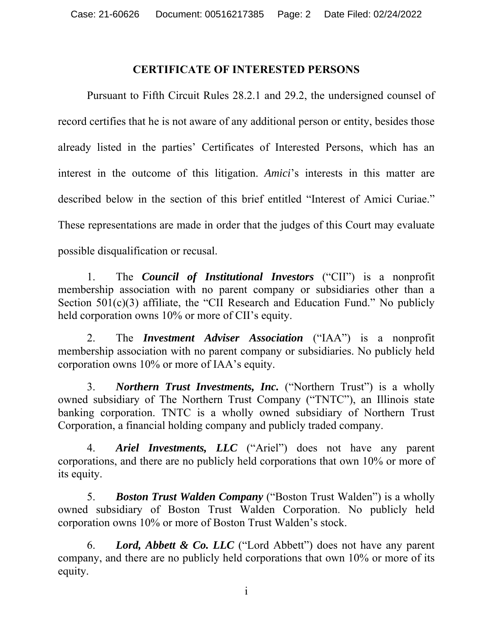#### **CERTIFICATE OF INTERESTED PERSONS**

Pursuant to Fifth Circuit Rules 28.2.1 and 29.2, the undersigned counsel of record certifies that he is not aware of any additional person or entity, besides those already listed in the parties' Certificates of Interested Persons, which has an interest in the outcome of this litigation. *Amici*'s interests in this matter are described below in the section of this brief entitled "Interest of Amici Curiae." These representations are made in order that the judges of this Court may evaluate possible disqualification or recusal.

1. The *Council of Institutional Investors* ("CII") is a nonprofit membership association with no parent company or subsidiaries other than a Section 501(c)(3) affiliate, the "CII Research and Education Fund." No publicly held corporation owns 10% or more of CII's equity.

2. The *Investment Adviser Association* ("IAA") is a nonprofit membership association with no parent company or subsidiaries. No publicly held corporation owns 10% or more of IAA's equity.

3. *Northern Trust Investments, Inc.* ("Northern Trust") is a wholly owned subsidiary of The Northern Trust Company ("TNTC"), an Illinois state banking corporation. TNTC is a wholly owned subsidiary of Northern Trust Corporation, a financial holding company and publicly traded company.

4. *Ariel Investments, LLC* ("Ariel") does not have any parent corporations, and there are no publicly held corporations that own 10% or more of its equity.

5. *Boston Trust Walden Company* ("Boston Trust Walden") is a wholly owned subsidiary of Boston Trust Walden Corporation. No publicly held corporation owns 10% or more of Boston Trust Walden's stock.

6. *Lord, Abbett & Co. LLC* ("Lord Abbett") does not have any parent company, and there are no publicly held corporations that own 10% or more of its equity.

i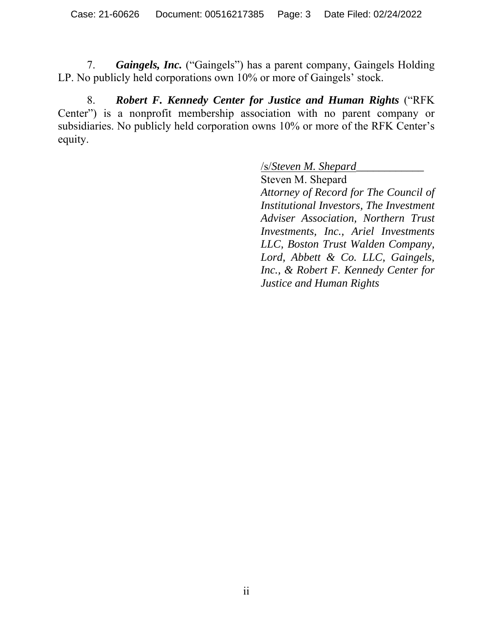7. *Gaingels, Inc.* ("Gaingels") has a parent company, Gaingels Holding LP. No publicly held corporations own 10% or more of Gaingels' stock.

8. *Robert F. Kennedy Center for Justice and Human Rights* ("RFK Center") is a nonprofit membership association with no parent company or subsidiaries. No publicly held corporation owns 10% or more of the RFK Center's equity.

/s/*Steven M. Shepard\_\_\_\_\_\_\_\_\_\_\_\_*

Steven M. Shepard *Attorney of Record for The Council of Institutional Investors, The Investment Adviser Association, Northern Trust Investments, Inc., Ariel Investments LLC, Boston Trust Walden Company, Lord, Abbett & Co. LLC, Gaingels, Inc., & Robert F. Kennedy Center for Justice and Human Rights*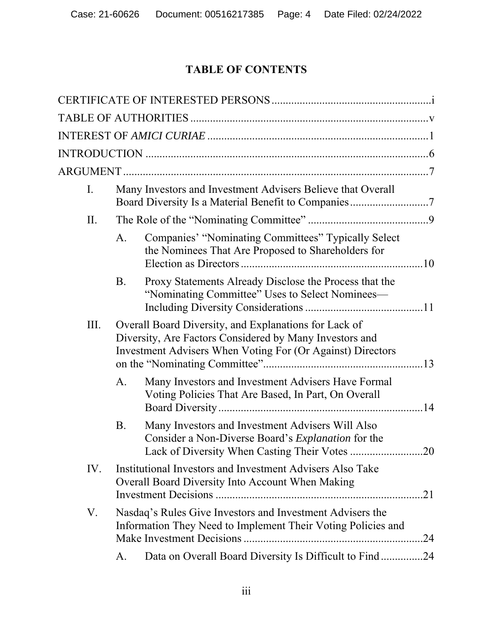# **TABLE OF CONTENTS**

| I.   | Many Investors and Investment Advisers Believe that Overall                                                          |                                                                                                                                                                                |  |  |
|------|----------------------------------------------------------------------------------------------------------------------|--------------------------------------------------------------------------------------------------------------------------------------------------------------------------------|--|--|
| II.  |                                                                                                                      |                                                                                                                                                                                |  |  |
|      | A.                                                                                                                   | Companies' "Nominating Committees" Typically Select<br>the Nominees That Are Proposed to Shareholders for                                                                      |  |  |
|      | B.                                                                                                                   | Proxy Statements Already Disclose the Process that the<br>"Nominating Committee" Uses to Select Nominees-                                                                      |  |  |
| III. |                                                                                                                      | Overall Board Diversity, and Explanations for Lack of<br>Diversity, Are Factors Considered by Many Investors and<br>Investment Advisers When Voting For (Or Against) Directors |  |  |
|      | А.                                                                                                                   | Many Investors and Investment Advisers Have Formal<br>Voting Policies That Are Based, In Part, On Overall                                                                      |  |  |
|      | B.                                                                                                                   | Many Investors and Investment Advisers Will Also<br>Consider a Non-Diverse Board's <i>Explanation</i> for the<br>Lack of Diversity When Casting Their Votes<br>20              |  |  |
| IV.  | Institutional Investors and Investment Advisers Also Take<br>Overall Board Diversity Into Account When Making<br>.21 |                                                                                                                                                                                |  |  |
| V.   |                                                                                                                      | Nasdaq's Rules Give Investors and Investment Advisers the<br>Information They Need to Implement Their Voting Policies and<br>.24                                               |  |  |
|      | A.                                                                                                                   | Data on Overall Board Diversity Is Difficult to Find24                                                                                                                         |  |  |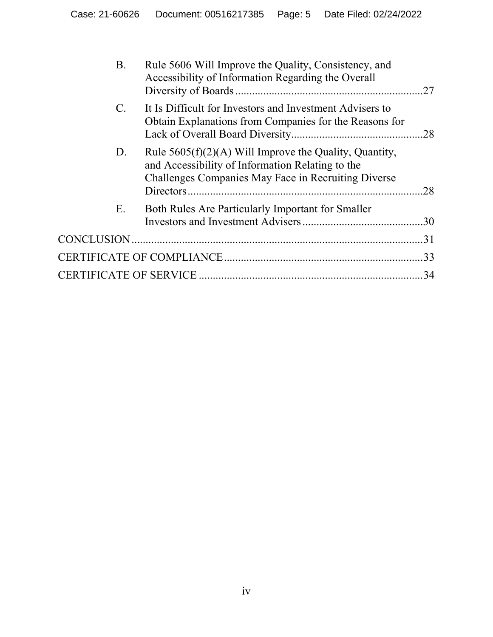| <b>B.</b>       | Rule 5606 Will Improve the Quality, Consistency, and<br>Accessibility of Information Regarding the Overall                                                          | .27 |  |  |
|-----------------|---------------------------------------------------------------------------------------------------------------------------------------------------------------------|-----|--|--|
| $\mathcal{C}$ . | It Is Difficult for Investors and Investment Advisers to<br>Obtain Explanations from Companies for the Reasons for                                                  |     |  |  |
| D.              | Rule $5605(f)(2)(A)$ Will Improve the Quality, Quantity,<br>and Accessibility of Information Relating to the<br>Challenges Companies May Face in Recruiting Diverse | .28 |  |  |
| Е.              | Both Rules Are Particularly Important for Smaller                                                                                                                   |     |  |  |
|                 |                                                                                                                                                                     |     |  |  |
|                 |                                                                                                                                                                     |     |  |  |
| 34              |                                                                                                                                                                     |     |  |  |
|                 |                                                                                                                                                                     |     |  |  |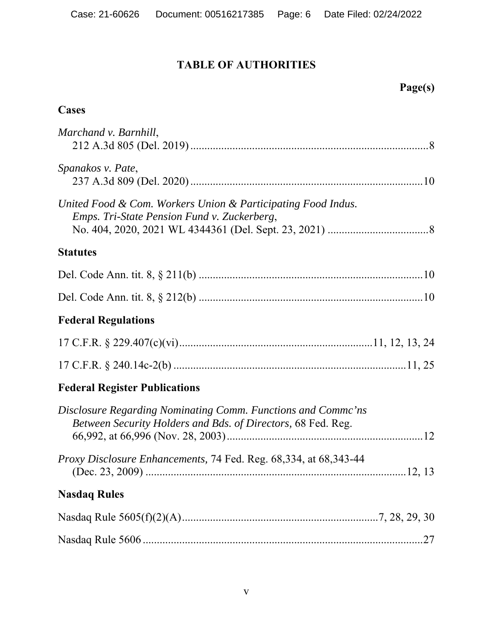## **TABLE OF AUTHORITIES**

## **Page(s)**

### **Cases**

| Marchand v. Barnhill,                                                                                                        |
|------------------------------------------------------------------------------------------------------------------------------|
| Spanakos v. Pate,                                                                                                            |
| United Food & Com. Workers Union & Participating Food Indus.<br>Emps. Tri-State Pension Fund v. Zuckerberg,                  |
| <b>Statutes</b>                                                                                                              |
|                                                                                                                              |
|                                                                                                                              |
| <b>Federal Regulations</b>                                                                                                   |
|                                                                                                                              |
|                                                                                                                              |
| <b>Federal Register Publications</b>                                                                                         |
| Disclosure Regarding Nominating Comm. Functions and Comme'ns<br>Between Security Holders and Bds. of Directors, 68 Fed. Reg. |
| <i>Proxy Disclosure Enhancements, 74 Fed. Reg. 68,334, at 68,343-44</i>                                                      |
| <b>Nasdaq Rules</b>                                                                                                          |
|                                                                                                                              |
|                                                                                                                              |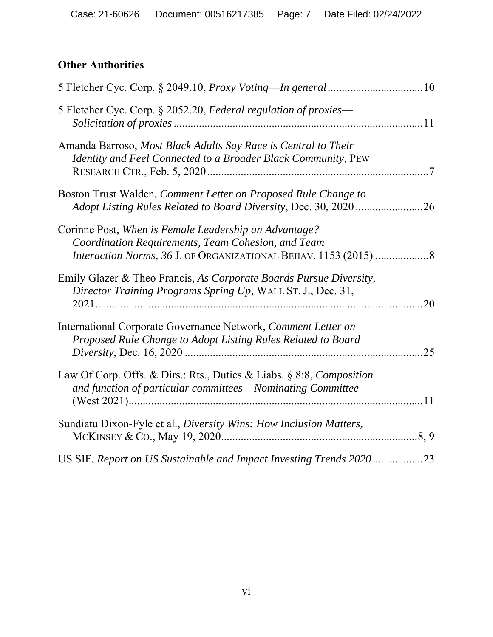## **Other Authorities**

| 5 Fletcher Cyc. Corp. § 2052.20, Federal regulation of proxies—      |     |
|----------------------------------------------------------------------|-----|
| Amanda Barroso, Most Black Adults Say Race is Central to Their       |     |
| Identity and Feel Connected to a Broader Black Community, PEW        |     |
| Boston Trust Walden, Comment Letter on Proposed Rule Change to       |     |
|                                                                      |     |
| Corinne Post, When is Female Leadership an Advantage?                |     |
| Coordination Requirements, Team Cohesion, and Team                   |     |
| Interaction Norms, 36 J. OF ORGANIZATIONAL BEHAV. 1153 (2015) 8      |     |
| Emily Glazer & Theo Francis, As Corporate Boards Pursue Diversity,   |     |
| Director Training Programs Spring Up, WALL ST. J., Dec. 31,          |     |
|                                                                      | .20 |
| International Corporate Governance Network, Comment Letter on        |     |
| Proposed Rule Change to Adopt Listing Rules Related to Board         |     |
|                                                                      | .25 |
| Law Of Corp. Offs. & Dirs.: Rts., Duties & Liabs. § 8:8, Composition |     |
| and function of particular committees-Nominating Committee           |     |
|                                                                      |     |
| Sundiatu Dixon-Fyle et al., Diversity Wins: How Inclusion Matters,   |     |
|                                                                      |     |
| US SIF, Report on US Sustainable and Impact Investing Trends 202023  |     |
|                                                                      |     |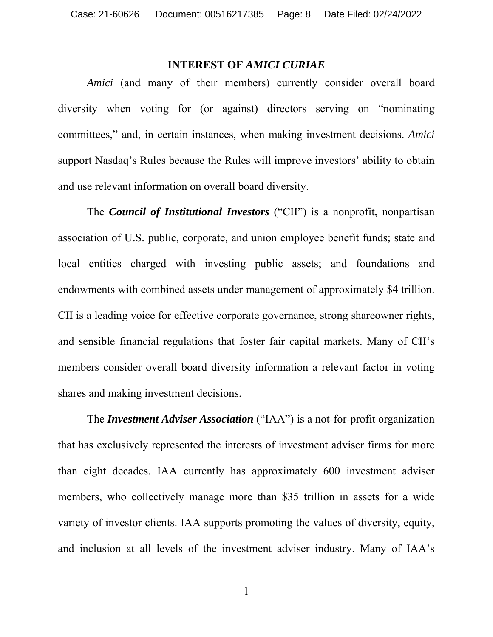#### **INTEREST OF** *AMICI CURIAE*

*Amici* (and many of their members) currently consider overall board diversity when voting for (or against) directors serving on "nominating committees," and, in certain instances, when making investment decisions. *Amici*  support Nasdaq's Rules because the Rules will improve investors' ability to obtain and use relevant information on overall board diversity.

The *Council of Institutional Investors* ("CII") is a nonprofit, nonpartisan association of U.S. public, corporate, and union employee benefit funds; state and local entities charged with investing public assets; and foundations and endowments with combined assets under management of approximately \$4 trillion. CII is a leading voice for effective corporate governance, strong shareowner rights, and sensible financial regulations that foster fair capital markets. Many of CII's members consider overall board diversity information a relevant factor in voting shares and making investment decisions.

The *Investment Adviser Association* ("IAA") is a not-for-profit organization that has exclusively represented the interests of investment adviser firms for more than eight decades. IAA currently has approximately 600 investment adviser members, who collectively manage more than \$35 trillion in assets for a wide variety of investor clients. IAA supports promoting the values of diversity, equity, and inclusion at all levels of the investment adviser industry. Many of IAA's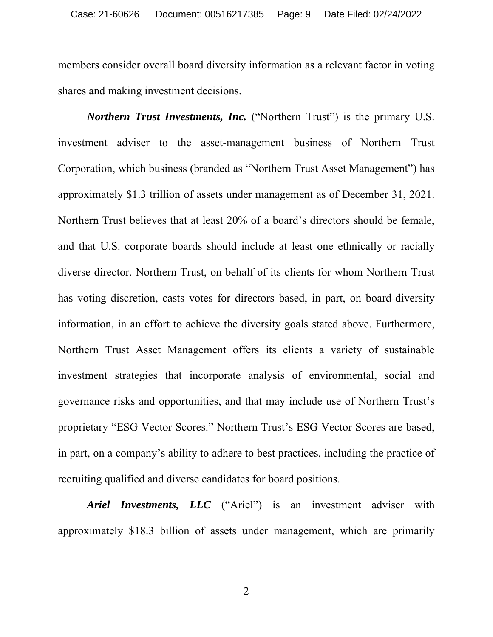members consider overall board diversity information as a relevant factor in voting shares and making investment decisions.

*Northern Trust Investments, Inc.* ("Northern Trust") is the primary U.S. investment adviser to the asset-management business of Northern Trust Corporation, which business (branded as "Northern Trust Asset Management") has approximately \$1.3 trillion of assets under management as of December 31, 2021. Northern Trust believes that at least 20% of a board's directors should be female, and that U.S. corporate boards should include at least one ethnically or racially diverse director. Northern Trust, on behalf of its clients for whom Northern Trust has voting discretion, casts votes for directors based, in part, on board-diversity information, in an effort to achieve the diversity goals stated above. Furthermore, Northern Trust Asset Management offers its clients a variety of sustainable investment strategies that incorporate analysis of environmental, social and governance risks and opportunities, and that may include use of Northern Trust's proprietary "ESG Vector Scores." Northern Trust's ESG Vector Scores are based, in part, on a company's ability to adhere to best practices, including the practice of recruiting qualified and diverse candidates for board positions.

*Ariel Investments, LLC* ("Ariel") is an investment adviser with approximately \$18.3 billion of assets under management, which are primarily

2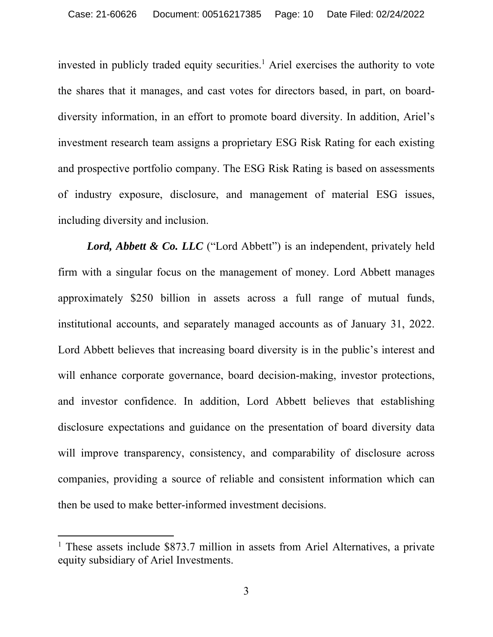invested in publicly traded equity securities.<sup>1</sup> Ariel exercises the authority to vote the shares that it manages, and cast votes for directors based, in part, on boarddiversity information, in an effort to promote board diversity. In addition, Ariel's investment research team assigns a proprietary ESG Risk Rating for each existing and prospective portfolio company. The ESG Risk Rating is based on assessments of industry exposure, disclosure, and management of material ESG issues, including diversity and inclusion.

Lord, Abbett & Co. LLC ("Lord Abbett") is an independent, privately held firm with a singular focus on the management of money. Lord Abbett manages approximately \$250 billion in assets across a full range of mutual funds, institutional accounts, and separately managed accounts as of January 31, 2022. Lord Abbett believes that increasing board diversity is in the public's interest and will enhance corporate governance, board decision-making, investor protections, and investor confidence. In addition, Lord Abbett believes that establishing disclosure expectations and guidance on the presentation of board diversity data will improve transparency, consistency, and comparability of disclosure across companies, providing a source of reliable and consistent information which can then be used to make better-informed investment decisions.

<sup>&</sup>lt;sup>1</sup> These assets include \$873.7 million in assets from Ariel Alternatives, a private equity subsidiary of Ariel Investments.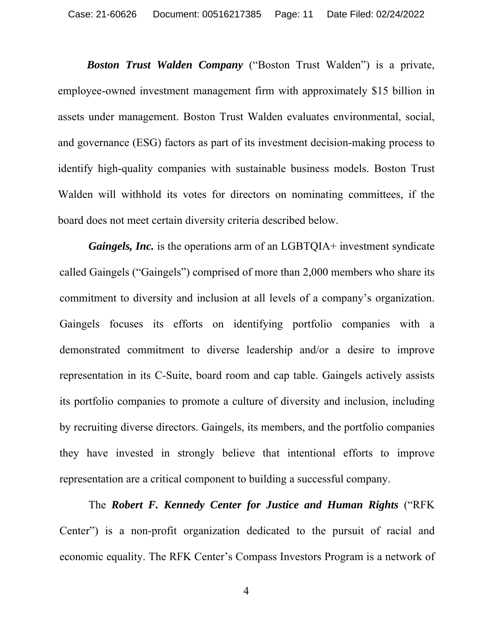*Boston Trust Walden Company* ("Boston Trust Walden") is a private, employee-owned investment management firm with approximately \$15 billion in assets under management. Boston Trust Walden evaluates environmental, social, and governance (ESG) factors as part of its investment decision-making process to identify high-quality companies with sustainable business models. Boston Trust Walden will withhold its votes for directors on nominating committees, if the board does not meet certain diversity criteria described below.

*Gaingels, Inc.* is the operations arm of an LGBTQIA+ investment syndicate called Gaingels ("Gaingels") comprised of more than 2,000 members who share its commitment to diversity and inclusion at all levels of a company's organization. Gaingels focuses its efforts on identifying portfolio companies with a demonstrated commitment to diverse leadership and/or a desire to improve representation in its C-Suite, board room and cap table. Gaingels actively assists its portfolio companies to promote a culture of diversity and inclusion, including by recruiting diverse directors. Gaingels, its members, and the portfolio companies they have invested in strongly believe that intentional efforts to improve representation are a critical component to building a successful company.

The *Robert F. Kennedy Center for Justice and Human Rights* ("RFK Center") is a non-profit organization dedicated to the pursuit of racial and economic equality. The RFK Center's Compass Investors Program is a network of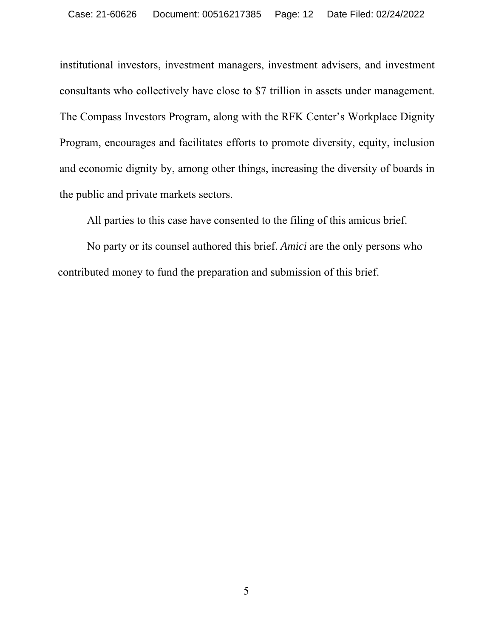institutional investors, investment managers, investment advisers, and investment consultants who collectively have close to \$7 trillion in assets under management. The Compass Investors Program, along with the RFK Center's Workplace Dignity Program, encourages and facilitates efforts to promote diversity, equity, inclusion and economic dignity by, among other things, increasing the diversity of boards in the public and private markets sectors.

All parties to this case have consented to the filing of this amicus brief.

No party or its counsel authored this brief. *Amici* are the only persons who contributed money to fund the preparation and submission of this brief.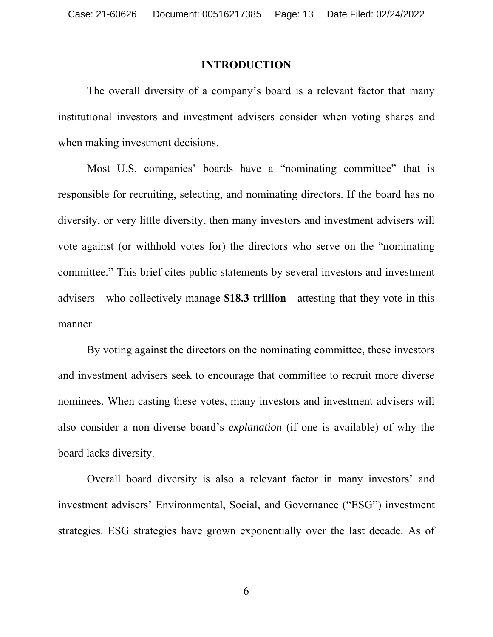#### **INTRODUCTION**

The overall diversity of a company's board is a relevant factor that many institutional investors and investment advisers consider when voting shares and when making investment decisions.

Most U.S. companies' boards have a "nominating committee" that is responsible for recruiting, selecting, and nominating directors. If the board has no diversity, or very little diversity, then many investors and investment advisers will vote against (or withhold votes for) the directors who serve on the "nominating committee." This brief cites public statements by several investors and investment advisers—who collectively manage **\$18.3 trillion**—attesting that they vote in this manner.

By voting against the directors on the nominating committee, these investors and investment advisers seek to encourage that committee to recruit more diverse nominees. When casting these votes, many investors and investment advisers will also consider a non-diverse board's *explanation* (if one is available) of why the board lacks diversity.

Overall board diversity is also a relevant factor in many investors' and investment advisers' Environmental, Social, and Governance ("ESG") investment strategies. ESG strategies have grown exponentially over the last decade. As of

6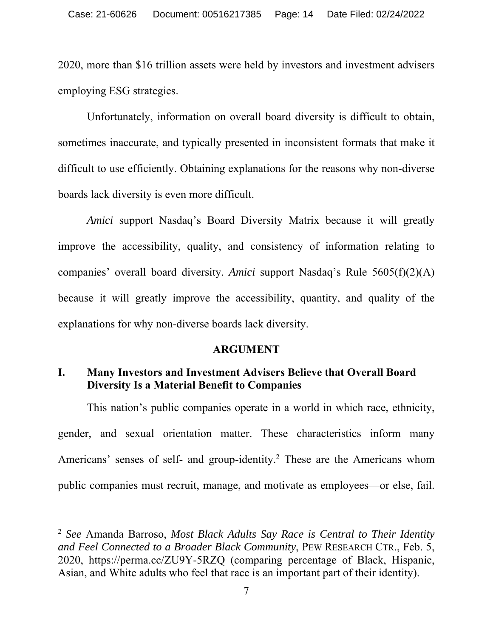2020, more than \$16 trillion assets were held by investors and investment advisers employing ESG strategies.

Unfortunately, information on overall board diversity is difficult to obtain, sometimes inaccurate, and typically presented in inconsistent formats that make it difficult to use efficiently. Obtaining explanations for the reasons why non-diverse boards lack diversity is even more difficult.

*Amici* support Nasdaq's Board Diversity Matrix because it will greatly improve the accessibility, quality, and consistency of information relating to companies' overall board diversity. *Amici* support Nasdaq's Rule 5605(f)(2)(A) because it will greatly improve the accessibility, quantity, and quality of the explanations for why non-diverse boards lack diversity.

#### **ARGUMENT**

#### **I. Many Investors and Investment Advisers Believe that Overall Board Diversity Is a Material Benefit to Companies**

This nation's public companies operate in a world in which race, ethnicity, gender, and sexual orientation matter. These characteristics inform many Americans' senses of self- and group-identity.<sup>2</sup> These are the Americans whom public companies must recruit, manage, and motivate as employees—or else, fail.

<sup>2</sup> *See* Amanda Barroso, *Most Black Adults Say Race is Central to Their Identity and Feel Connected to a Broader Black Community*, PEW RESEARCH CTR., Feb. 5, 2020, https://perma.cc/ZU9Y-5RZQ (comparing percentage of Black, Hispanic, Asian, and White adults who feel that race is an important part of their identity).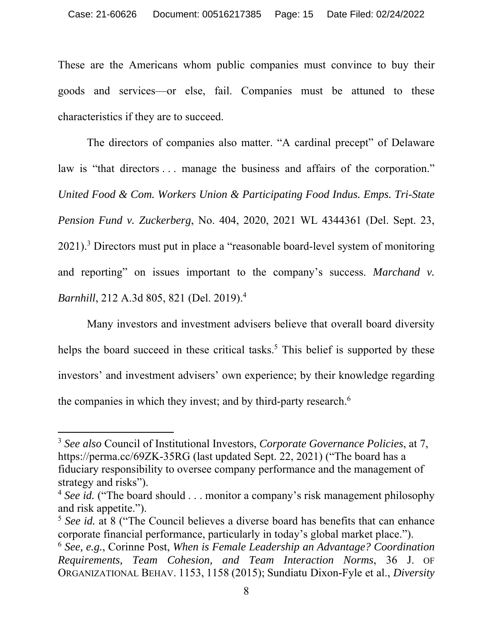These are the Americans whom public companies must convince to buy their goods and services—or else, fail. Companies must be attuned to these characteristics if they are to succeed.

The directors of companies also matter. "A cardinal precept" of Delaware law is "that directors ... manage the business and affairs of the corporation." *United Food & Com. Workers Union & Participating Food Indus. Emps. Tri-State Pension Fund v. Zuckerberg*, No. 404, 2020, 2021 WL 4344361 (Del. Sept. 23, 2021).<sup>3</sup> Directors must put in place a "reasonable board-level system of monitoring and reporting" on issues important to the company's success. *Marchand v*. *Barnhill*, 212 A.3d 805, 821 (Del. 2019).4

Many investors and investment advisers believe that overall board diversity helps the board succeed in these critical tasks.<sup>5</sup> This belief is supported by these investors' and investment advisers' own experience; by their knowledge regarding the companies in which they invest; and by third-party research. 6

<sup>3</sup> *See also* Council of Institutional Investors, *Corporate Governance Policies*, at 7, https://perma.cc/69ZK-35RG (last updated Sept. 22, 2021) ("The board has a fiduciary responsibility to oversee company performance and the management of strategy and risks").

<sup>&</sup>lt;sup>4</sup> *See id.* ("The board should . . . monitor a company's risk management philosophy and risk appetite.").

<sup>5</sup> *See id.* at 8 ("The Council believes a diverse board has benefits that can enhance corporate financial performance, particularly in today's global market place.").

<sup>6</sup> *See, e.g.*, Corinne Post, *When is Female Leadership an Advantage? Coordination Requirements, Team Cohesion, and Team Interaction Norms*, 36 J. OF ORGANIZATIONAL BEHAV. 1153, 1158 (2015); Sundiatu Dixon-Fyle et al., *Diversity*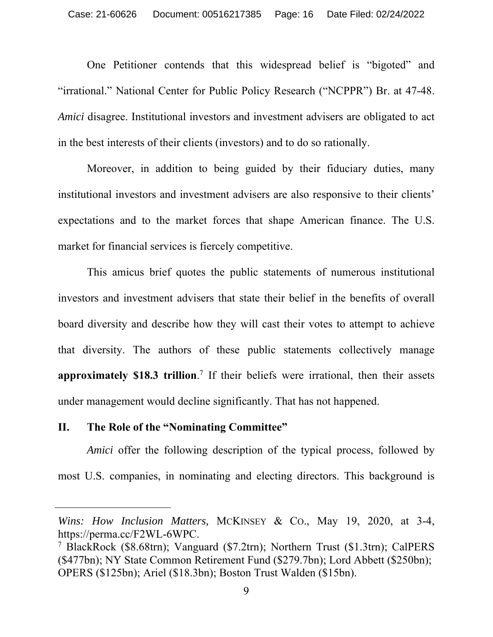One Petitioner contends that this widespread belief is "bigoted" and "irrational." National Center for Public Policy Research ("NCPPR") Br. at 47-48. *Amici* disagree. Institutional investors and investment advisers are obligated to act in the best interests of their clients (investors) and to do so rationally.

Moreover, in addition to being guided by their fiduciary duties, many institutional investors and investment advisers are also responsive to their clients' expectations and to the market forces that shape American finance. The U.S. market for financial services is fiercely competitive.

This amicus brief quotes the public statements of numerous institutional investors and investment advisers that state their belief in the benefits of overall board diversity and describe how they will cast their votes to attempt to achieve that diversity. The authors of these public statements collectively manage **approximately \$18.3 trillion**. 7 If their beliefs were irrational, then their assets under management would decline significantly. That has not happened.

#### **II. The Role of the "Nominating Committee"**

*Amici* offer the following description of the typical process, followed by most U.S. companies, in nominating and electing directors. This background is

*Wins: How Inclusion Matters,* MCKINSEY & CO., May 19, 2020, at 3-4, https://perma.cc/F2WL-6WPC.

<sup>7</sup> BlackRock (\$8.68trn); Vanguard (\$7.2trn); Northern Trust (\$1.3trn); CalPERS (\$477bn); NY State Common Retirement Fund (\$279.7bn); Lord Abbett (\$250bn); OPERS (\$125bn); Ariel (\$18.3bn); Boston Trust Walden (\$15bn).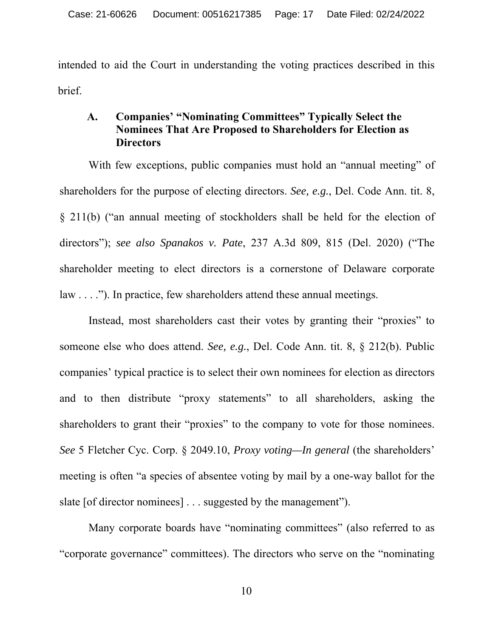intended to aid the Court in understanding the voting practices described in this brief.

#### **A. Companies' "Nominating Committees" Typically Select the Nominees That Are Proposed to Shareholders for Election as Directors**

With few exceptions, public companies must hold an "annual meeting" of shareholders for the purpose of electing directors. *See, e.g.*, Del. Code Ann. tit. 8, § 211(b) ("an annual meeting of stockholders shall be held for the election of directors"); *see also Spanakos v. Pate*, 237 A.3d 809, 815 (Del. 2020) ("The shareholder meeting to elect directors is a cornerstone of Delaware corporate law . . . ."). In practice, few shareholders attend these annual meetings.

Instead, most shareholders cast their votes by granting their "proxies" to someone else who does attend. *See, e.g.*, Del. Code Ann. tit. 8, § 212(b). Public companies' typical practice is to select their own nominees for election as directors and to then distribute "proxy statements" to all shareholders, asking the shareholders to grant their "proxies" to the company to vote for those nominees. *See* 5 Fletcher Cyc. Corp. § 2049.10, *Proxy voting—In general* (the shareholders' meeting is often "a species of absentee voting by mail by a one-way ballot for the slate [of director nominees] . . . suggested by the management").

Many corporate boards have "nominating committees" (also referred to as "corporate governance" committees). The directors who serve on the "nominating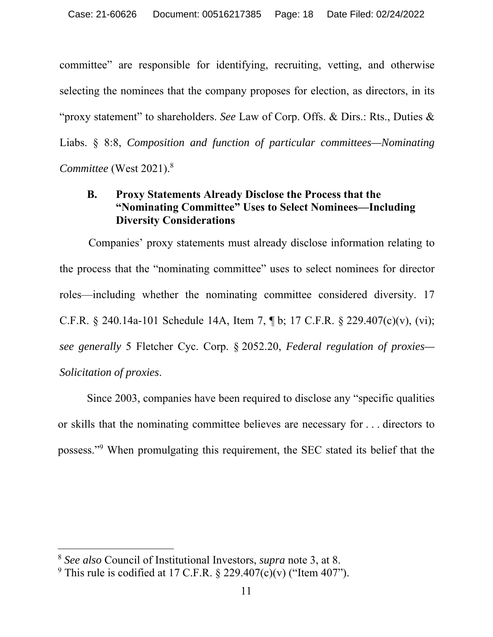committee" are responsible for identifying, recruiting, vetting, and otherwise selecting the nominees that the company proposes for election, as directors, in its "proxy statement" to shareholders. *See* Law of Corp. Offs. & Dirs.: Rts., Duties & Liabs. § 8:8, *Composition and function of particular committees—Nominating Committee* (West 2021).8

### **B. Proxy Statements Already Disclose the Process that the "Nominating Committee" Uses to Select Nominees—Including Diversity Considerations**

Companies' proxy statements must already disclose information relating to the process that the "nominating committee" uses to select nominees for director roles—including whether the nominating committee considered diversity. 17 C.F.R. § 240.14a-101 Schedule 14A, Item 7, ¶ b; 17 C.F.R. § 229.407(c)(v), (vi); *see generally* 5 Fletcher Cyc. Corp. § 2052.20, *Federal regulation of proxies— Solicitation of proxies*.

Since 2003, companies have been required to disclose any "specific qualities or skills that the nominating committee believes are necessary for . . . directors to possess."9 When promulgating this requirement, the SEC stated its belief that the

<sup>8</sup> *See also* Council of Institutional Investors, *supra* note 3, at 8.

<sup>&</sup>lt;sup>9</sup> This rule is codified at 17 C.F.R.  $\S$  229.407(c)(v) ("Item 407").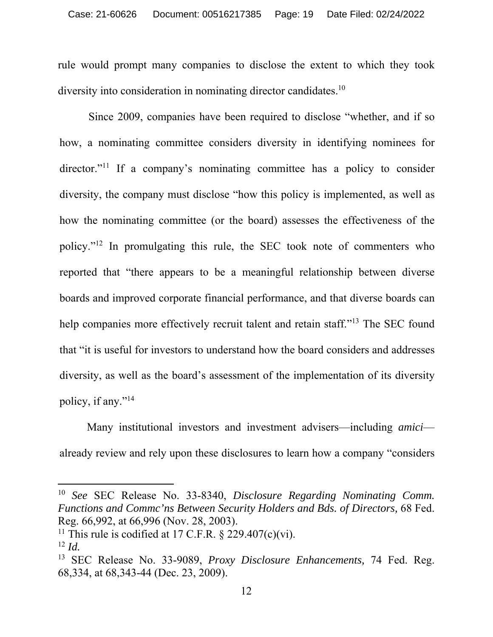rule would prompt many companies to disclose the extent to which they took diversity into consideration in nominating director candidates.<sup>10</sup>

Since 2009, companies have been required to disclose "whether, and if so how, a nominating committee considers diversity in identifying nominees for director."<sup>11</sup> If a company's nominating committee has a policy to consider diversity, the company must disclose "how this policy is implemented, as well as how the nominating committee (or the board) assesses the effectiveness of the policy."12 In promulgating this rule, the SEC took note of commenters who reported that "there appears to be a meaningful relationship between diverse boards and improved corporate financial performance, and that diverse boards can help companies more effectively recruit talent and retain staff."<sup>13</sup> The SEC found that "it is useful for investors to understand how the board considers and addresses diversity, as well as the board's assessment of the implementation of its diversity policy, if any."14

Many institutional investors and investment advisers—including *amici* already review and rely upon these disclosures to learn how a company "considers

<sup>10</sup> *See* SEC Release No. 33-8340, *Disclosure Regarding Nominating Comm. Functions and Commc'ns Between Security Holders and Bds. of Directors,* 68 Fed. Reg. 66,992, at 66,996 (Nov. 28, 2003).

<sup>&</sup>lt;sup>11</sup> This rule is codified at 17 C.F.R.  $\S$  229.407(c)(vi).

<sup>12</sup> *Id.* 13 SEC Release No. 33-9089, *Proxy Disclosure Enhancements,* 74 Fed. Reg. 68,334, at 68,343-44 (Dec. 23, 2009).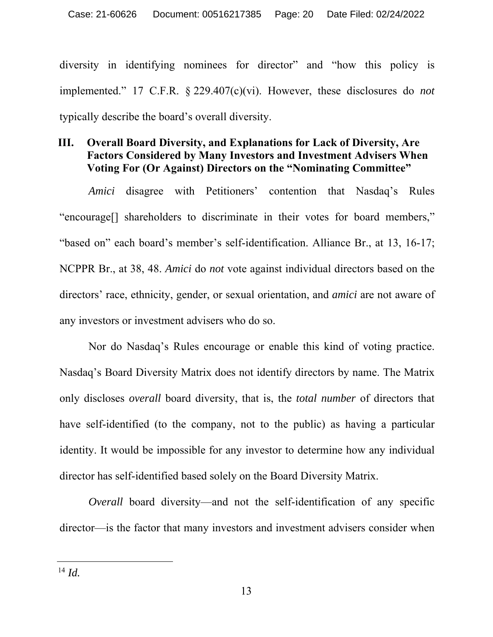diversity in identifying nominees for director" and "how this policy is implemented." 17 C.F.R. § 229.407(c)(vi). However, these disclosures do *not* typically describe the board's overall diversity.

#### **III. Overall Board Diversity, and Explanations for Lack of Diversity, Are Factors Considered by Many Investors and Investment Advisers When Voting For (Or Against) Directors on the "Nominating Committee"**

*Amici* disagree with Petitioners' contention that Nasdaq's Rules "encourage[] shareholders to discriminate in their votes for board members," "based on" each board's member's self-identification. Alliance Br., at 13, 16-17; NCPPR Br., at 38, 48. *Amici* do *not* vote against individual directors based on the directors' race, ethnicity, gender, or sexual orientation, and *amici* are not aware of any investors or investment advisers who do so.

Nor do Nasdaq's Rules encourage or enable this kind of voting practice. Nasdaq's Board Diversity Matrix does not identify directors by name. The Matrix only discloses *overall* board diversity, that is, the *total number* of directors that have self-identified (to the company, not to the public) as having a particular identity. It would be impossible for any investor to determine how any individual director has self-identified based solely on the Board Diversity Matrix.

*Overall* board diversity—and not the self-identification of any specific director—is the factor that many investors and investment advisers consider when

 $^{14}$  *Id.*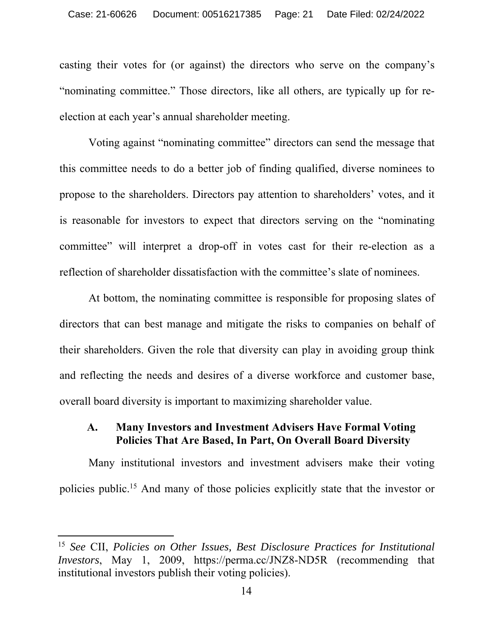casting their votes for (or against) the directors who serve on the company's "nominating committee." Those directors, like all others, are typically up for reelection at each year's annual shareholder meeting.

Voting against "nominating committee" directors can send the message that this committee needs to do a better job of finding qualified, diverse nominees to propose to the shareholders. Directors pay attention to shareholders' votes, and it is reasonable for investors to expect that directors serving on the "nominating committee" will interpret a drop-off in votes cast for their re-election as a reflection of shareholder dissatisfaction with the committee's slate of nominees.

At bottom, the nominating committee is responsible for proposing slates of directors that can best manage and mitigate the risks to companies on behalf of their shareholders. Given the role that diversity can play in avoiding group think and reflecting the needs and desires of a diverse workforce and customer base, overall board diversity is important to maximizing shareholder value.

#### **A. Many Investors and Investment Advisers Have Formal Voting Policies That Are Based, In Part, On Overall Board Diversity**

Many institutional investors and investment advisers make their voting policies public.15 And many of those policies explicitly state that the investor or

<sup>15</sup> *See* CII, *Policies on Other Issues, Best Disclosure Practices for Institutional Investors*, May 1, 2009, https://perma.cc/JNZ8-ND5R (recommending that institutional investors publish their voting policies).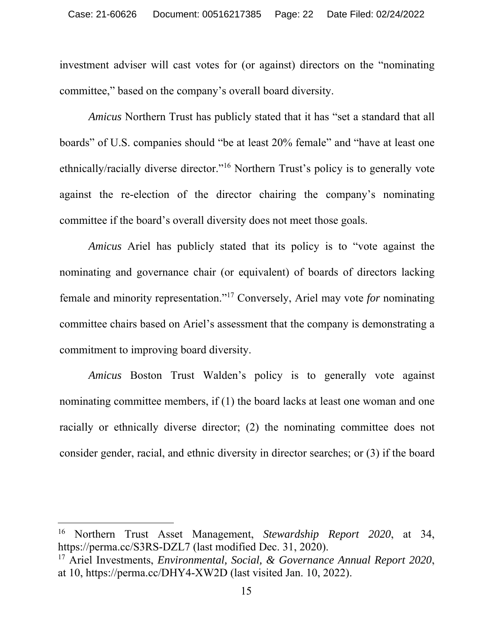investment adviser will cast votes for (or against) directors on the "nominating committee," based on the company's overall board diversity.

*Amicus* Northern Trust has publicly stated that it has "set a standard that all boards" of U.S. companies should "be at least 20% female" and "have at least one ethnically/racially diverse director."16 Northern Trust's policy is to generally vote against the re-election of the director chairing the company's nominating committee if the board's overall diversity does not meet those goals.

*Amicus* Ariel has publicly stated that its policy is to "vote against the nominating and governance chair (or equivalent) of boards of directors lacking female and minority representation."17 Conversely, Ariel may vote *for* nominating committee chairs based on Ariel's assessment that the company is demonstrating a commitment to improving board diversity.

*Amicus* Boston Trust Walden's policy is to generally vote against nominating committee members, if (1) the board lacks at least one woman and one racially or ethnically diverse director; (2) the nominating committee does not consider gender, racial, and ethnic diversity in director searches; or (3) if the board

<sup>16</sup> Northern Trust Asset Management, *Stewardship Report 2020*, at 34, https://perma.cc/S3RS-DZL7 (last modified Dec. 31, 2020).

<sup>17</sup> Ariel Investments, *Environmental, Social, & Governance Annual Report 2020*, at 10, https://perma.cc/DHY4-XW2D (last visited Jan. 10, 2022).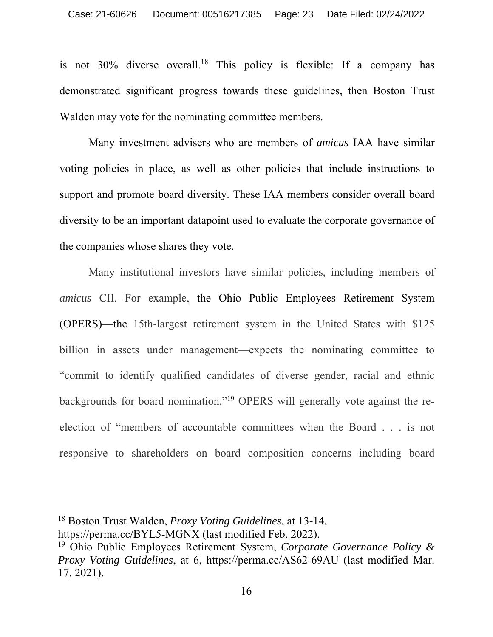is not  $30\%$  diverse overall.<sup>18</sup> This policy is flexible: If a company has demonstrated significant progress towards these guidelines, then Boston Trust Walden may vote for the nominating committee members.

Many investment advisers who are members of *amicus* IAA have similar voting policies in place, as well as other policies that include instructions to support and promote board diversity. These IAA members consider overall board diversity to be an important datapoint used to evaluate the corporate governance of the companies whose shares they vote.

Many institutional investors have similar policies, including members of *amicus* CII. For example, the Ohio Public Employees Retirement System (OPERS)—the 15th-largest retirement system in the United States with \$125 billion in assets under management—expects the nominating committee to "commit to identify qualified candidates of diverse gender, racial and ethnic backgrounds for board nomination."19 OPERS will generally vote against the reelection of "members of accountable committees when the Board . . . is not responsive to shareholders on board composition concerns including board

<sup>18</sup> Boston Trust Walden, *Proxy Voting Guidelines*, at 13-14, https://perma.cc/BYL5-MGNX (last modified Feb. 2022).

<sup>19</sup> Ohio Public Employees Retirement System, *Corporate Governance Policy & Proxy Voting Guidelines*, at 6, https://perma.cc/AS62-69AU (last modified Mar. 17, 2021).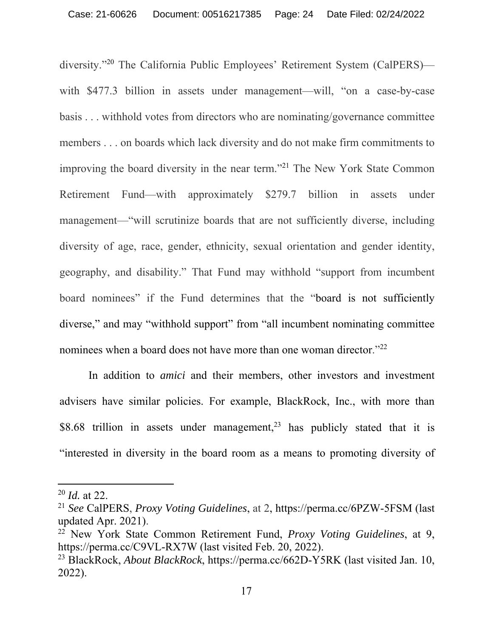diversity."20 The California Public Employees' Retirement System (CalPERS) with \$477.3 billion in assets under management—will, "on a case-by-case" basis . . . withhold votes from directors who are nominating/governance committee members . . . on boards which lack diversity and do not make firm commitments to improving the board diversity in the near term."21 The New York State Common Retirement Fund—with approximately \$279.7 billion in assets under management—"will scrutinize boards that are not sufficiently diverse, including diversity of age, race, gender, ethnicity, sexual orientation and gender identity, geography, and disability." That Fund may withhold "support from incumbent board nominees" if the Fund determines that the "board is not sufficiently diverse," and may "withhold support" from "all incumbent nominating committee nominees when a board does not have more than one woman director."<sup>22</sup>

In addition to *amici* and their members, other investors and investment advisers have similar policies. For example, BlackRock, Inc., with more than \$8.68 trillion in assets under management,<sup>23</sup> has publicly stated that it is "interested in diversity in the board room as a means to promoting diversity of

<sup>20</sup> *Id.* at 22.

<sup>21</sup> *See* CalPERS, *Proxy Voting Guidelines*, at 2, https://perma.cc/6PZW-5FSM (last updated Apr. 2021).

<sup>22</sup> New York State Common Retirement Fund, *Proxy Voting Guidelines*, at 9, https://perma.cc/C9VL-RX7W (last visited Feb. 20, 2022).

<sup>23</sup> BlackRock, *About BlackRock*, https://perma.cc/662D-Y5RK (last visited Jan. 10, 2022).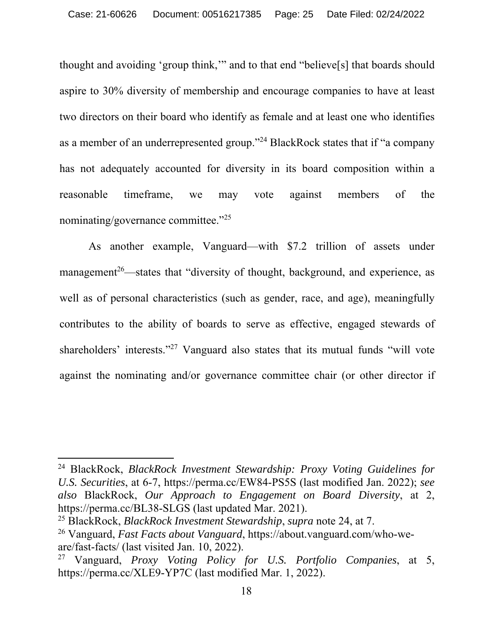thought and avoiding 'group think,'" and to that end "believe[s] that boards should aspire to 30% diversity of membership and encourage companies to have at least two directors on their board who identify as female and at least one who identifies as a member of an underrepresented group."24 BlackRock states that if "a company has not adequately accounted for diversity in its board composition within a reasonable timeframe, we may vote against members of the nominating/governance committee."25

As another example, Vanguard—with \$7.2 trillion of assets under management<sup>26</sup>—states that "diversity of thought, background, and experience, as well as of personal characteristics (such as gender, race, and age), meaningfully contributes to the ability of boards to serve as effective, engaged stewards of shareholders' interests."<sup>27</sup> Vanguard also states that its mutual funds "will vote against the nominating and/or governance committee chair (or other director if

<sup>24</sup> BlackRock, *BlackRock Investment Stewardship: Proxy Voting Guidelines for U.S. Securities*, at 6-7, https://perma.cc/EW84-PS5S (last modified Jan. 2022); *see also* BlackRock, *Our Approach to Engagement on Board Diversity*, at 2, https://perma.cc/BL38-SLGS (last updated Mar. 2021).

<sup>25</sup> BlackRock, *BlackRock Investment Stewardship*, *supra* note 24, at 7.

<sup>26</sup> Vanguard, *Fast Facts about Vanguard*, https://about.vanguard.com/who-weare/fast-facts/ (last visited Jan. 10, 2022).

<sup>27</sup> Vanguard, *Proxy Voting Policy for U.S. Portfolio Companies*, at 5, https://perma.cc/XLE9-YP7C (last modified Mar. 1, 2022).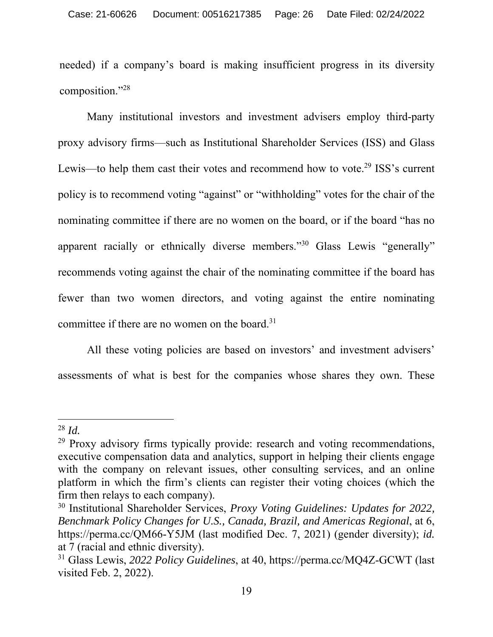needed) if a company's board is making insufficient progress in its diversity composition."28

Many institutional investors and investment advisers employ third-party proxy advisory firms—such as Institutional Shareholder Services (ISS) and Glass Lewis—to help them cast their votes and recommend how to vote.<sup>29</sup> ISS's current policy is to recommend voting "against" or "withholding" votes for the chair of the nominating committee if there are no women on the board, or if the board "has no apparent racially or ethnically diverse members."<sup>30</sup> Glass Lewis "generally" recommends voting against the chair of the nominating committee if the board has fewer than two women directors, and voting against the entire nominating committee if there are no women on the board. $31$ 

All these voting policies are based on investors' and investment advisers' assessments of what is best for the companies whose shares they own. These

<sup>28</sup> *Id.*

 $29$  Proxy advisory firms typically provide: research and voting recommendations, executive compensation data and analytics, support in helping their clients engage with the company on relevant issues, other consulting services, and an online platform in which the firm's clients can register their voting choices (which the firm then relays to each company).

<sup>30</sup> Institutional Shareholder Services, *Proxy Voting Guidelines: Updates for 2022, Benchmark Policy Changes for U.S., Canada, Brazil, and Americas Regional*, at 6, https://perma.cc/QM66-Y5JM (last modified Dec. 7, 2021) (gender diversity); *id.*  at 7 (racial and ethnic diversity).

<sup>31</sup> Glass Lewis, *2022 Policy Guidelines*, at 40, https://perma.cc/MQ4Z-GCWT (last visited Feb. 2, 2022).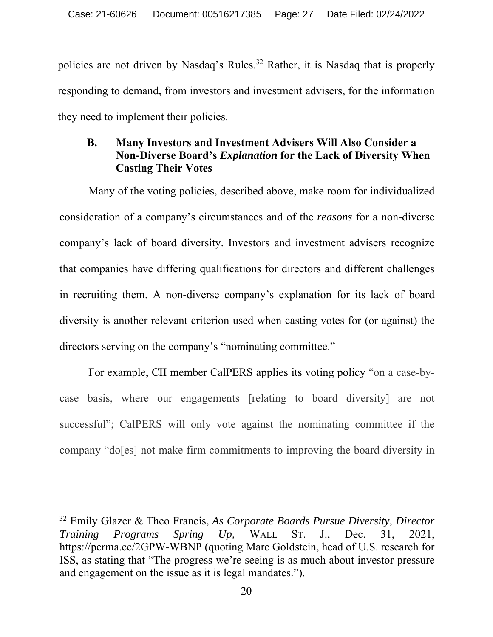policies are not driven by Nasdaq's Rules.<sup>32</sup> Rather, it is Nasdaq that is properly responding to demand, from investors and investment advisers, for the information they need to implement their policies.

### **B. Many Investors and Investment Advisers Will Also Consider a Non-Diverse Board's** *Explanation* **for the Lack of Diversity When Casting Their Votes**

Many of the voting policies, described above, make room for individualized consideration of a company's circumstances and of the *reasons* for a non-diverse company's lack of board diversity. Investors and investment advisers recognize that companies have differing qualifications for directors and different challenges in recruiting them. A non-diverse company's explanation for its lack of board diversity is another relevant criterion used when casting votes for (or against) the directors serving on the company's "nominating committee."

For example, CII member CalPERS applies its voting policy "on a case-bycase basis, where our engagements [relating to board diversity] are not successful"; CalPERS will only vote against the nominating committee if the company "do[es] not make firm commitments to improving the board diversity in

<sup>32</sup> Emily Glazer & Theo Francis, *As Corporate Boards Pursue Diversity, Director Training Programs Spring Up,* WALL ST. J., Dec. 31, 2021, https://perma.cc/2GPW-WBNP (quoting Marc Goldstein, head of U.S. research for ISS, as stating that "The progress we're seeing is as much about investor pressure and engagement on the issue as it is legal mandates.").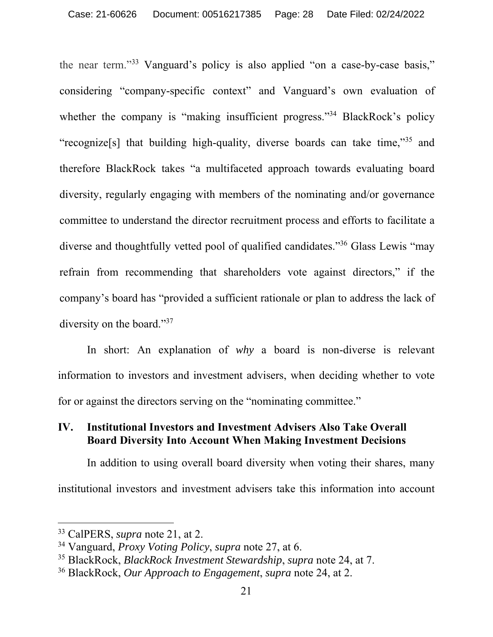the near term."33 Vanguard's policy is also applied "on a case-by-case basis," considering "company-specific context" and Vanguard's own evaluation of whether the company is "making insufficient progress."<sup>34</sup> BlackRock's policy "recognize[s] that building high-quality, diverse boards can take time,"35 and therefore BlackRock takes "a multifaceted approach towards evaluating board diversity, regularly engaging with members of the nominating and/or governance committee to understand the director recruitment process and efforts to facilitate a diverse and thoughtfully vetted pool of qualified candidates."36 Glass Lewis "may refrain from recommending that shareholders vote against directors," if the company's board has "provided a sufficient rationale or plan to address the lack of diversity on the board."<sup>37</sup>

In short: An explanation of *why* a board is non-diverse is relevant information to investors and investment advisers, when deciding whether to vote for or against the directors serving on the "nominating committee."

#### **IV. Institutional Investors and Investment Advisers Also Take Overall Board Diversity Into Account When Making Investment Decisions**

In addition to using overall board diversity when voting their shares, many institutional investors and investment advisers take this information into account

<sup>33</sup> CalPERS, *supra* note 21, at 2.

<sup>34</sup> Vanguard, *Proxy Voting Policy*, *supra* note 27, at 6.

<sup>35</sup> BlackRock, *BlackRock Investment Stewardship*, *supra* note 24, at 7.

<sup>36</sup> BlackRock, *Our Approach to Engagement*, *supra* note 24, at 2.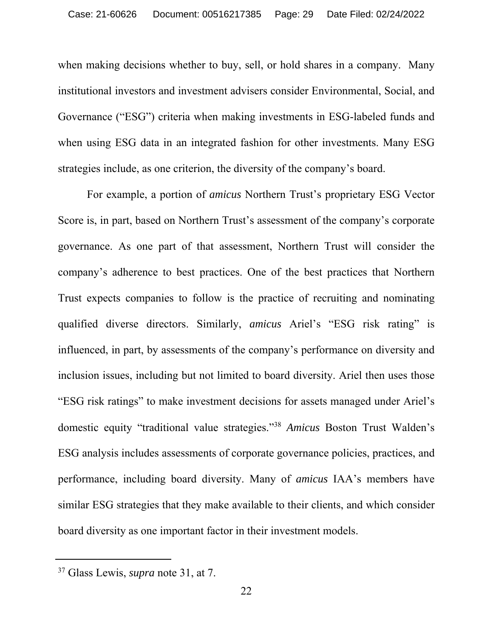when making decisions whether to buy, sell, or hold shares in a company. Many institutional investors and investment advisers consider Environmental, Social, and Governance ("ESG") criteria when making investments in ESG-labeled funds and when using ESG data in an integrated fashion for other investments. Many ESG strategies include, as one criterion, the diversity of the company's board.

For example, a portion of *amicus* Northern Trust's proprietary ESG Vector Score is, in part, based on Northern Trust's assessment of the company's corporate governance. As one part of that assessment, Northern Trust will consider the company's adherence to best practices. One of the best practices that Northern Trust expects companies to follow is the practice of recruiting and nominating qualified diverse directors. Similarly, *amicus* Ariel's "ESG risk rating" is influenced, in part, by assessments of the company's performance on diversity and inclusion issues, including but not limited to board diversity. Ariel then uses those "ESG risk ratings" to make investment decisions for assets managed under Ariel's domestic equity "traditional value strategies."38 *Amicus* Boston Trust Walden's ESG analysis includes assessments of corporate governance policies, practices, and performance, including board diversity. Many of *amicus* IAA's members have similar ESG strategies that they make available to their clients, and which consider board diversity as one important factor in their investment models.

<sup>37</sup> Glass Lewis, *supra* note 31, at 7.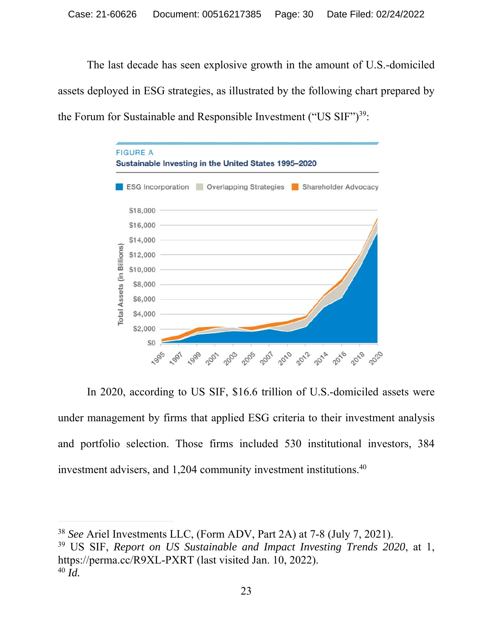The last decade has seen explosive growth in the amount of U.S.-domiciled assets deployed in ESG strategies, as illustrated by the following chart prepared by the Forum for Sustainable and Responsible Investment ("US  $SIF$ ")<sup>39</sup>:



In 2020, according to US SIF, \$16.6 trillion of U.S.-domiciled assets were under management by firms that applied ESG criteria to their investment analysis and portfolio selection. Those firms included 530 institutional investors, 384 investment advisers, and 1,204 community investment institutions.<sup>40</sup>

39 US SIF, *Report on US Sustainable and Impact Investing Trends 2020*, at 1, https://perma.cc/R9XL-PXRT (last visited Jan. 10, 2022).  $40$  *Id.* 

<sup>38</sup> *See* Ariel Investments LLC, (Form ADV, Part 2A) at 7-8 (July 7, 2021).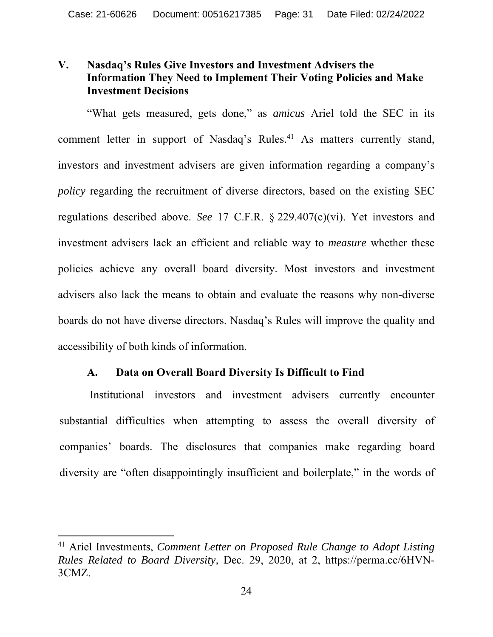### **V. Nasdaq's Rules Give Investors and Investment Advisers the Information They Need to Implement Their Voting Policies and Make Investment Decisions**

"What gets measured, gets done," as *amicus* Ariel told the SEC in its comment letter in support of Nasdaq's Rules.<sup>41</sup> As matters currently stand, investors and investment advisers are given information regarding a company's *policy* regarding the recruitment of diverse directors, based on the existing SEC regulations described above. *See* 17 C.F.R. § 229.407(c)(vi). Yet investors and investment advisers lack an efficient and reliable way to *measure* whether these policies achieve any overall board diversity. Most investors and investment advisers also lack the means to obtain and evaluate the reasons why non-diverse boards do not have diverse directors. Nasdaq's Rules will improve the quality and accessibility of both kinds of information.

#### **A. Data on Overall Board Diversity Is Difficult to Find**

Institutional investors and investment advisers currently encounter substantial difficulties when attempting to assess the overall diversity of companies' boards. The disclosures that companies make regarding board diversity are "often disappointingly insufficient and boilerplate," in the words of

<sup>41</sup> Ariel Investments, *Comment Letter on Proposed Rule Change to Adopt Listing Rules Related to Board Diversity,* Dec. 29, 2020, at 2, https://perma.cc/6HVN-3CMZ.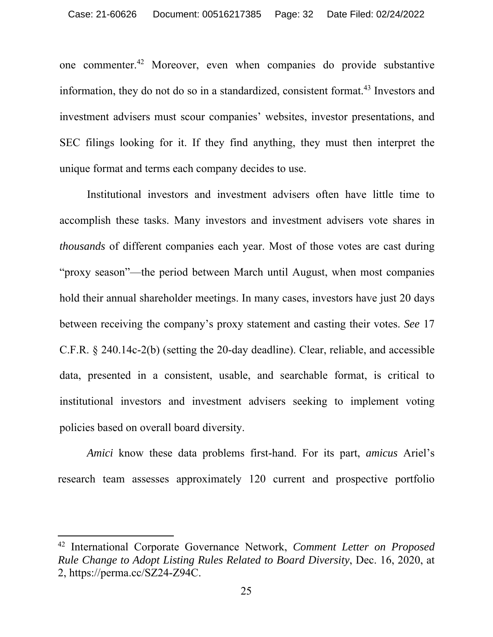one commenter.42 Moreover, even when companies do provide substantive information, they do not do so in a standardized, consistent format.<sup>43</sup> Investors and investment advisers must scour companies' websites, investor presentations, and SEC filings looking for it. If they find anything, they must then interpret the unique format and terms each company decides to use.

Institutional investors and investment advisers often have little time to accomplish these tasks. Many investors and investment advisers vote shares in *thousands* of different companies each year. Most of those votes are cast during "proxy season"—the period between March until August, when most companies hold their annual shareholder meetings. In many cases, investors have just 20 days between receiving the company's proxy statement and casting their votes. *See* 17 C.F.R. § 240.14c-2(b) (setting the 20-day deadline). Clear, reliable, and accessible data, presented in a consistent, usable, and searchable format, is critical to institutional investors and investment advisers seeking to implement voting policies based on overall board diversity.

*Amici* know these data problems first-hand. For its part, *amicus* Ariel's research team assesses approximately 120 current and prospective portfolio

<sup>42</sup> International Corporate Governance Network, *Comment Letter on Proposed Rule Change to Adopt Listing Rules Related to Board Diversity*, Dec. 16, 2020, at 2, https://perma.cc/SZ24-Z94C.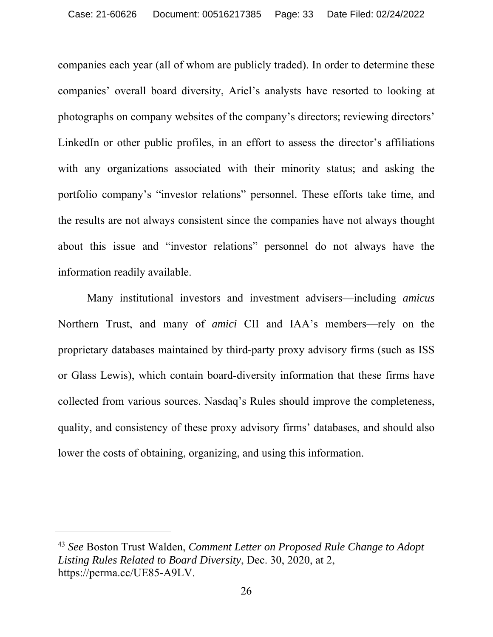companies each year (all of whom are publicly traded). In order to determine these companies' overall board diversity, Ariel's analysts have resorted to looking at photographs on company websites of the company's directors; reviewing directors' LinkedIn or other public profiles, in an effort to assess the director's affiliations with any organizations associated with their minority status; and asking the portfolio company's "investor relations" personnel. These efforts take time, and the results are not always consistent since the companies have not always thought about this issue and "investor relations" personnel do not always have the information readily available.

Many institutional investors and investment advisers—including *amicus*  Northern Trust, and many of *amici* CII and IAA's members—rely on the proprietary databases maintained by third-party proxy advisory firms (such as ISS or Glass Lewis), which contain board-diversity information that these firms have collected from various sources. Nasdaq's Rules should improve the completeness, quality, and consistency of these proxy advisory firms' databases, and should also lower the costs of obtaining, organizing, and using this information.

<sup>43</sup> *See* Boston Trust Walden, *Comment Letter on Proposed Rule Change to Adopt Listing Rules Related to Board Diversity*, Dec. 30, 2020, at 2, https://perma.cc/UE85-A9LV.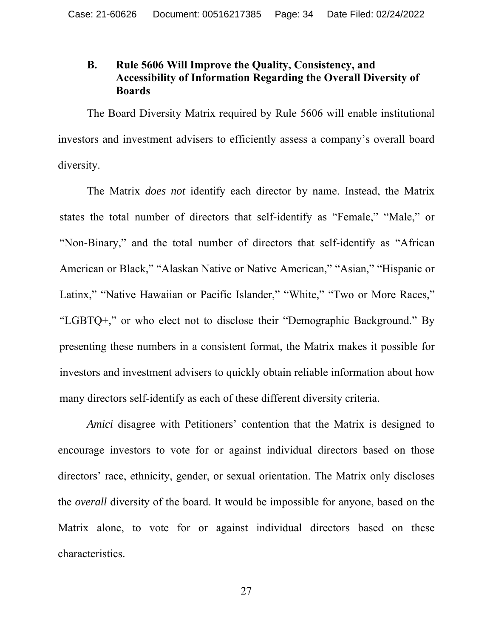#### **B. Rule 5606 Will Improve the Quality, Consistency, and Accessibility of Information Regarding the Overall Diversity of Boards**

The Board Diversity Matrix required by Rule 5606 will enable institutional investors and investment advisers to efficiently assess a company's overall board diversity.

The Matrix *does not* identify each director by name. Instead, the Matrix states the total number of directors that self-identify as "Female," "Male," or "Non-Binary," and the total number of directors that self-identify as "African American or Black," "Alaskan Native or Native American," "Asian," "Hispanic or Latinx," "Native Hawaiian or Pacific Islander," "White," "Two or More Races," "LGBTQ+," or who elect not to disclose their "Demographic Background." By presenting these numbers in a consistent format, the Matrix makes it possible for investors and investment advisers to quickly obtain reliable information about how many directors self-identify as each of these different diversity criteria.

*Amici* disagree with Petitioners' contention that the Matrix is designed to encourage investors to vote for or against individual directors based on those directors' race, ethnicity, gender, or sexual orientation. The Matrix only discloses the *overall* diversity of the board. It would be impossible for anyone, based on the Matrix alone, to vote for or against individual directors based on these characteristics.

27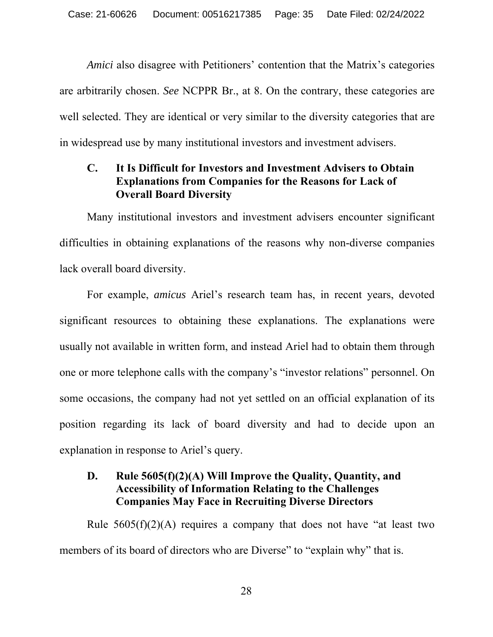*Amici* also disagree with Petitioners' contention that the Matrix's categories are arbitrarily chosen. *See* NCPPR Br., at 8. On the contrary, these categories are well selected. They are identical or very similar to the diversity categories that are in widespread use by many institutional investors and investment advisers.

### **C. It Is Difficult for Investors and Investment Advisers to Obtain Explanations from Companies for the Reasons for Lack of Overall Board Diversity**

Many institutional investors and investment advisers encounter significant difficulties in obtaining explanations of the reasons why non-diverse companies lack overall board diversity.

For example, *amicus* Ariel's research team has, in recent years, devoted significant resources to obtaining these explanations. The explanations were usually not available in written form, and instead Ariel had to obtain them through one or more telephone calls with the company's "investor relations" personnel. On some occasions, the company had not yet settled on an official explanation of its position regarding its lack of board diversity and had to decide upon an explanation in response to Ariel's query.

### **D. Rule 5605(f)(2)(A) Will Improve the Quality, Quantity, and Accessibility of Information Relating to the Challenges Companies May Face in Recruiting Diverse Directors**

Rule  $5605(f)(2)(A)$  requires a company that does not have "at least two members of its board of directors who are Diverse" to "explain why" that is.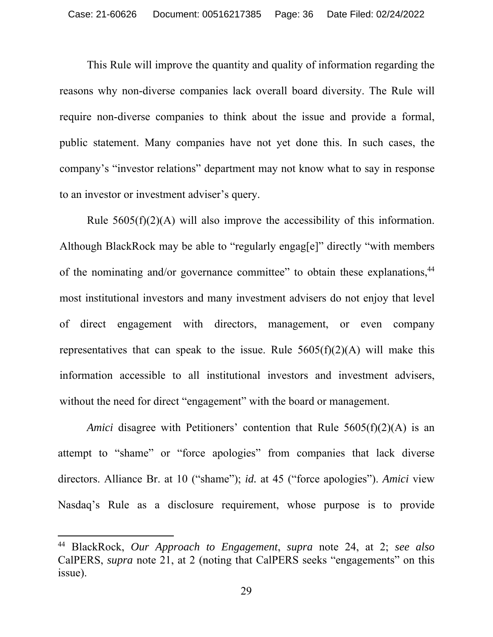This Rule will improve the quantity and quality of information regarding the reasons why non-diverse companies lack overall board diversity. The Rule will require non-diverse companies to think about the issue and provide a formal, public statement. Many companies have not yet done this. In such cases, the company's "investor relations" department may not know what to say in response to an investor or investment adviser's query.

Rule  $5605(f)(2)(A)$  will also improve the accessibility of this information. Although BlackRock may be able to "regularly engag[e]" directly "with members of the nominating and/or governance committee" to obtain these explanations,<sup>44</sup> most institutional investors and many investment advisers do not enjoy that level of direct engagement with directors, management, or even company representatives that can speak to the issue. Rule  $5605(f)(2)(A)$  will make this information accessible to all institutional investors and investment advisers, without the need for direct "engagement" with the board or management.

*Amici* disagree with Petitioners' contention that Rule 5605(f)(2)(A) is an attempt to "shame" or "force apologies" from companies that lack diverse directors. Alliance Br. at 10 ("shame"); *id.* at 45 ("force apologies"). *Amici* view Nasdaq's Rule as a disclosure requirement, whose purpose is to provide

<sup>44</sup> BlackRock, *Our Approach to Engagement*, *supra* note 24, at 2; *see also*  CalPERS, *supra* note 21, at 2 (noting that CalPERS seeks "engagements" on this issue).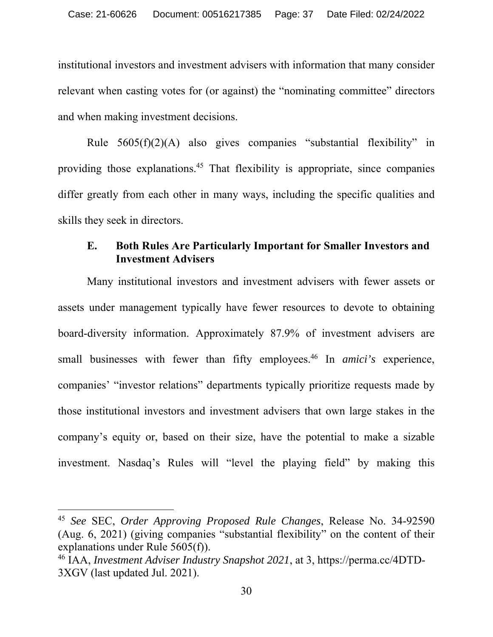institutional investors and investment advisers with information that many consider relevant when casting votes for (or against) the "nominating committee" directors and when making investment decisions.

Rule 5605(f)(2)(A) also gives companies "substantial flexibility" in providing those explanations.45 That flexibility is appropriate, since companies differ greatly from each other in many ways, including the specific qualities and skills they seek in directors.

#### **E. Both Rules Are Particularly Important for Smaller Investors and Investment Advisers**

Many institutional investors and investment advisers with fewer assets or assets under management typically have fewer resources to devote to obtaining board-diversity information. Approximately 87.9% of investment advisers are small businesses with fewer than fifty employees.<sup>46</sup> In *amici's* experience, companies' "investor relations" departments typically prioritize requests made by those institutional investors and investment advisers that own large stakes in the company's equity or, based on their size, have the potential to make a sizable investment. Nasdaq's Rules will "level the playing field" by making this

<sup>45</sup> *See* SEC, *Order Approving Proposed Rule Changes*, Release No. 34-92590 (Aug. 6, 2021) (giving companies "substantial flexibility" on the content of their explanations under Rule 5605(f)).

<sup>46</sup> IAA, *Investment Adviser Industry Snapshot 2021*, at 3, https://perma.cc/4DTD-3XGV (last updated Jul. 2021).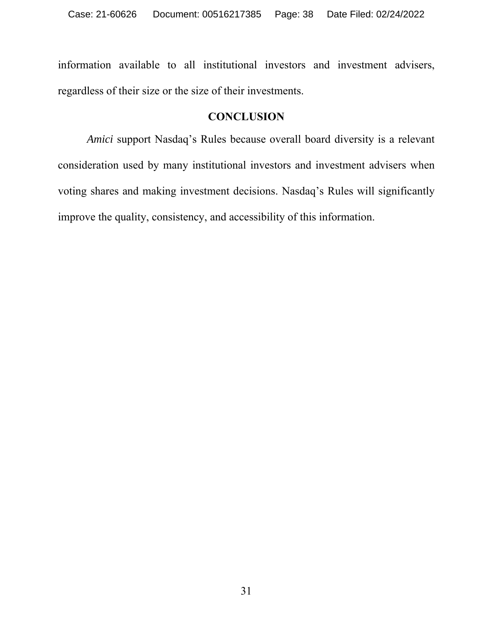information available to all institutional investors and investment advisers, regardless of their size or the size of their investments.

#### **CONCLUSION**

*Amici* support Nasdaq's Rules because overall board diversity is a relevant consideration used by many institutional investors and investment advisers when voting shares and making investment decisions. Nasdaq's Rules will significantly improve the quality, consistency, and accessibility of this information.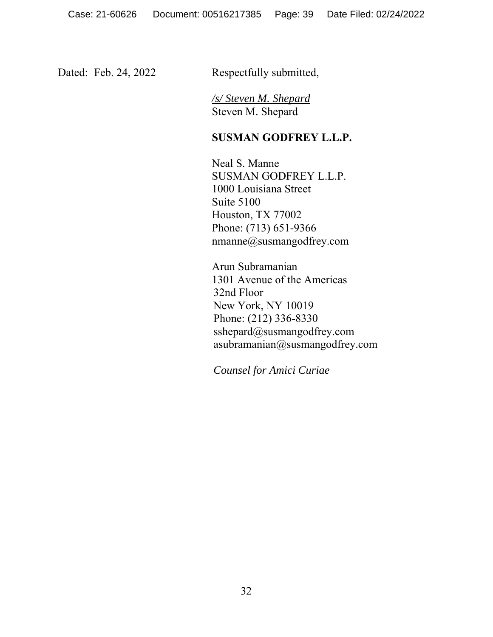Dated: Feb. 24, 2022 Respectfully submitted,

*/s/ Steven M. Shepard*  Steven M. Shepard

#### **SUSMAN GODFREY L.L.P.**

Neal S. Manne SUSMAN GODFREY L.L.P. 1000 Louisiana Street Suite 5100 Houston, TX 77002 Phone: (713) 651-9366 nmanne@susmangodfrey.com

Arun Subramanian 1301 Avenue of the Americas 32nd Floor New York, NY 10019 Phone: (212) 336-8330 sshepard@susmangodfrey.com asubramanian@susmangodfrey.com

*Counsel for Amici Curiae*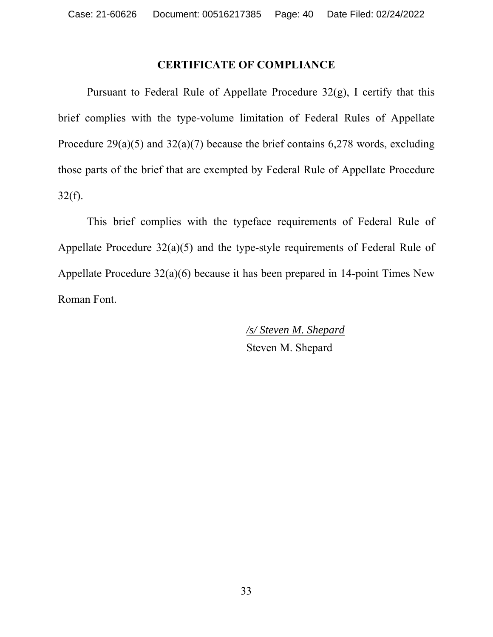#### **CERTIFICATE OF COMPLIANCE**

Pursuant to Federal Rule of Appellate Procedure  $32(g)$ , I certify that this brief complies with the type-volume limitation of Federal Rules of Appellate Procedure  $29(a)(5)$  and  $32(a)(7)$  because the brief contains 6,278 words, excluding those parts of the brief that are exempted by Federal Rule of Appellate Procedure  $32(f)$ .

This brief complies with the typeface requirements of Federal Rule of Appellate Procedure 32(a)(5) and the type-style requirements of Federal Rule of Appellate Procedure 32(a)(6) because it has been prepared in 14-point Times New Roman Font.

> */s/ Steven M. Shepard*  Steven M. Shepard